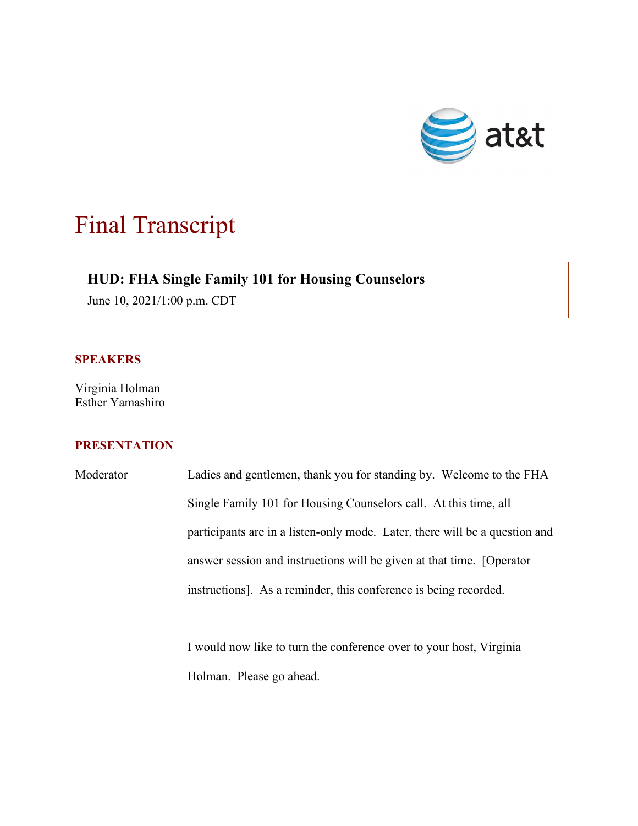

# Final Transcript

## $\overline{\phantom{a}}$ **HUD: FHA Single Family 101 for Housing Counselors**

June 10, 2021/1:00 p.m. CDT

#### **SPEAKERS**

Virginia Holman Esther Yamashiro

### **PRESENTATION**

Moderator Ladies and gentlemen, thank you for standing by. Welcome to the FHA Single Family 101 for Housing Counselors call. At this time, all participants are in a listen-only mode. Later, there will be a question and answer session and instructions will be given at that time. [Operator instructions]. As a reminder, this conference is being recorded.

> I would now like to turn the conference over to your host, Virginia Holman. Please go ahead.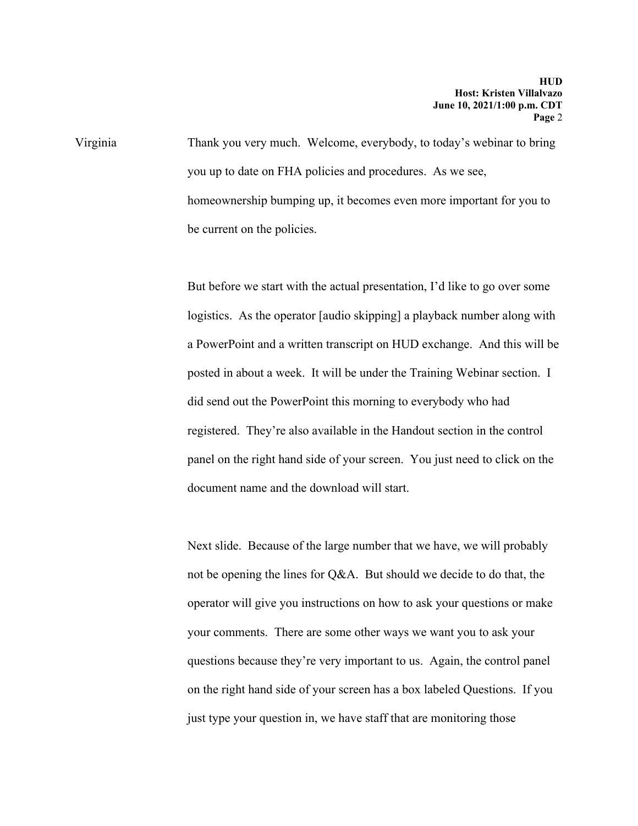Virginia Thank you very much. Welcome, everybody, to today's webinar to bring you up to date on FHA policies and procedures. As we see, homeownership bumping up, it becomes even more important for you to be current on the policies.

> But before we start with the actual presentation, I'd like to go over some logistics. As the operator [audio skipping] a playback number along with a PowerPoint and a written transcript on HUD exchange. And this will be posted in about a week. It will be under the Training Webinar section. I did send out the PowerPoint this morning to everybody who had registered. They're also available in the Handout section in the control panel on the right hand side of your screen. You just need to click on the document name and the download will start.

Next slide. Because of the large number that we have, we will probably not be opening the lines for Q&A. But should we decide to do that, the operator will give you instructions on how to ask your questions or make your comments. There are some other ways we want you to ask your questions because they're very important to us. Again, the control panel on the right hand side of your screen has a box labeled Questions. If you just type your question in, we have staff that are monitoring those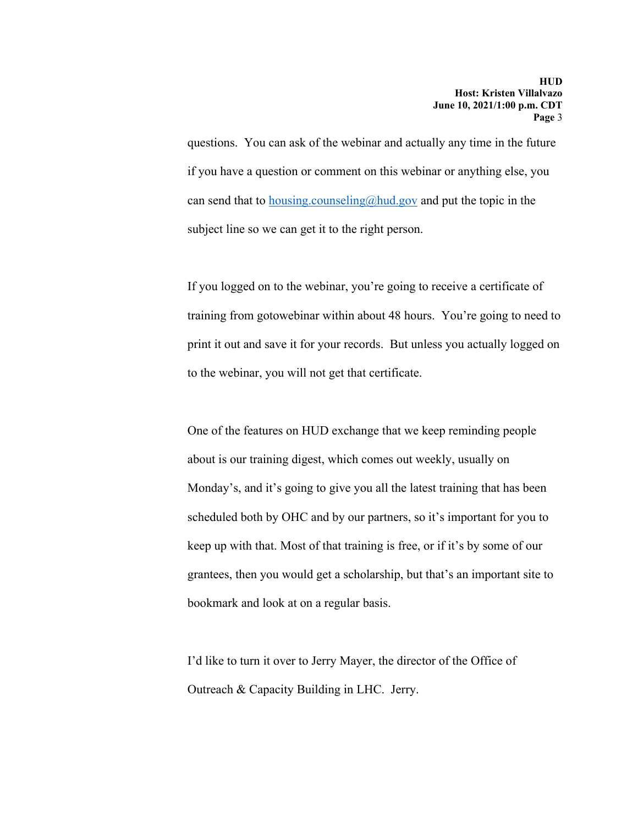questions. You can ask of the webinar and actually any time in the future if you have a question or comment on this webinar or anything else, you can send that to **housing.counseling@hud.gov** and put the topic in the subject line so we can get it to the right person.

If you logged on to the webinar, you're going to receive a certificate of training from gotowebinar within about 48 hours. You're going to need to print it out and save it for your records. But unless you actually logged on to the webinar, you will not get that certificate.

One of the features on HUD exchange that we keep reminding people about is our training digest, which comes out weekly, usually on Monday's, and it's going to give you all the latest training that has been scheduled both by OHC and by our partners, so it's important for you to keep up with that. Most of that training is free, or if it's by some of our grantees, then you would get a scholarship, but that's an important site to bookmark and look at on a regular basis.

I'd like to turn it over to Jerry Mayer, the director of the Office of Outreach & Capacity Building in LHC. Jerry.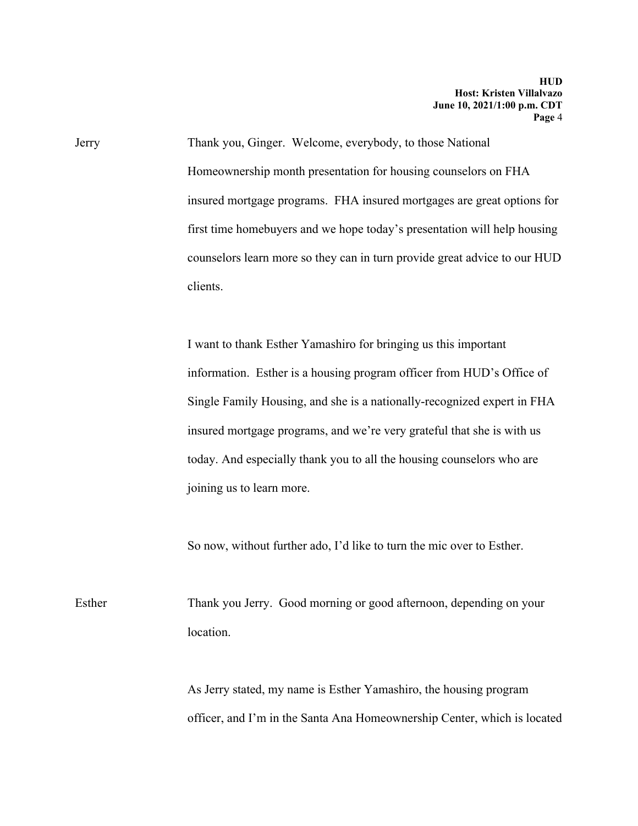Jerry Thank you, Ginger. Welcome, everybody, to those National Homeownership month presentation for housing counselors on FHA insured mortgage programs. FHA insured mortgages are great options for first time homebuyers and we hope today's presentation will help housing counselors learn more so they can in turn provide great advice to our HUD clients.

> I want to thank Esther Yamashiro for bringing us this important information. Esther is a housing program officer from HUD's Office of Single Family Housing, and she is a nationally-recognized expert in FHA insured mortgage programs, and we're very grateful that she is with us today. And especially thank you to all the housing counselors who are joining us to learn more.

So now, without further ado, I'd like to turn the mic over to Esther.

Esther Thank you Jerry. Good morning or good afternoon, depending on your location.

> As Jerry stated, my name is Esther Yamashiro, the housing program officer, and I'm in the Santa Ana Homeownership Center, which is located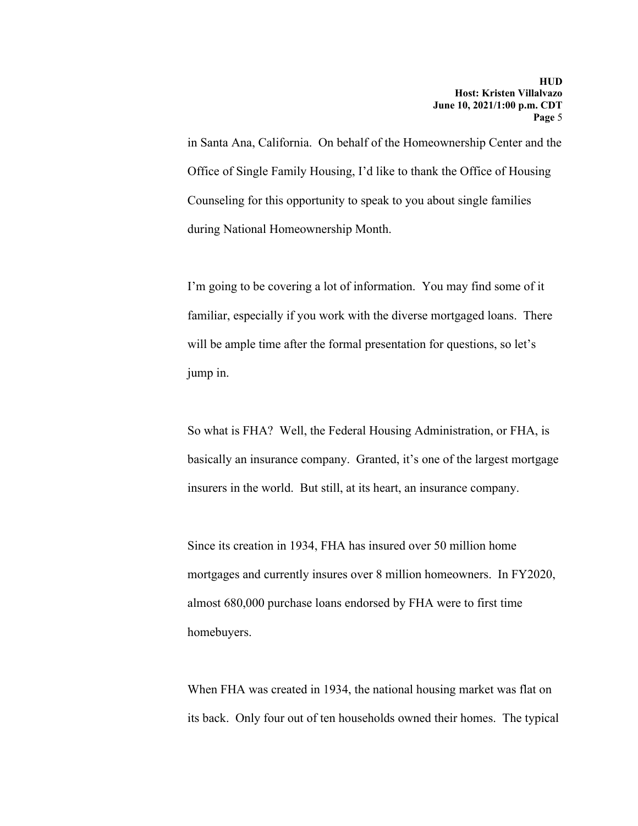in Santa Ana, California. On behalf of the Homeownership Center and the Office of Single Family Housing, I'd like to thank the Office of Housing Counseling for this opportunity to speak to you about single families during National Homeownership Month.

I'm going to be covering a lot of information. You may find some of it familiar, especially if you work with the diverse mortgaged loans. There will be ample time after the formal presentation for questions, so let's jump in.

So what is FHA? Well, the Federal Housing Administration, or FHA, is basically an insurance company. Granted, it's one of the largest mortgage insurers in the world. But still, at its heart, an insurance company.

Since its creation in 1934, FHA has insured over 50 million home mortgages and currently insures over 8 million homeowners. In FY2020, almost 680,000 purchase loans endorsed by FHA were to first time homebuyers.

When FHA was created in 1934, the national housing market was flat on its back. Only four out of ten households owned their homes. The typical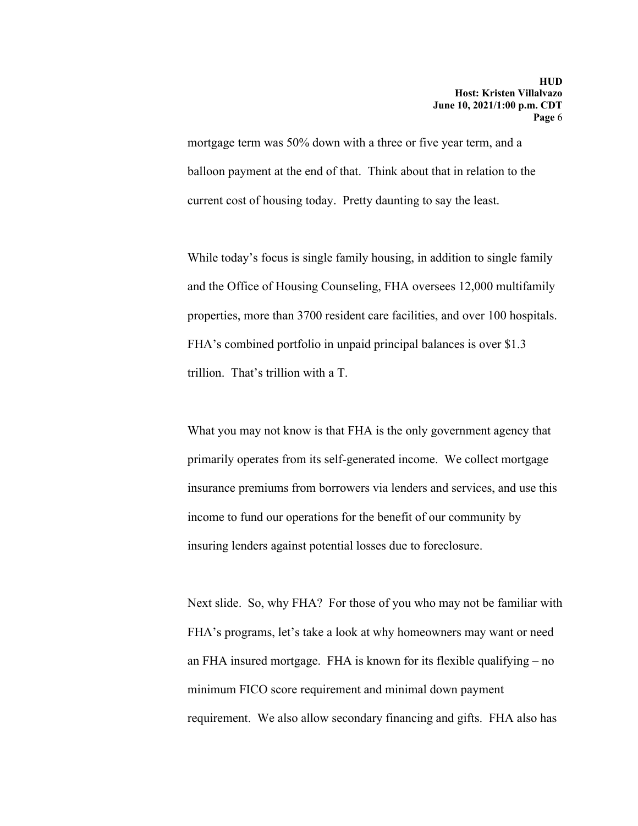mortgage term was 50% down with a three or five year term, and a balloon payment at the end of that. Think about that in relation to the current cost of housing today. Pretty daunting to say the least.

While today's focus is single family housing, in addition to single family and the Office of Housing Counseling, FHA oversees 12,000 multifamily properties, more than 3700 resident care facilities, and over 100 hospitals. FHA's combined portfolio in unpaid principal balances is over \$1.3 trillion. That's trillion with a T.

What you may not know is that FHA is the only government agency that primarily operates from its self-generated income. We collect mortgage insurance premiums from borrowers via lenders and services, and use this income to fund our operations for the benefit of our community by insuring lenders against potential losses due to foreclosure.

Next slide. So, why FHA? For those of you who may not be familiar with FHA's programs, let's take a look at why homeowners may want or need an FHA insured mortgage. FHA is known for its flexible qualifying – no minimum FICO score requirement and minimal down payment requirement. We also allow secondary financing and gifts. FHA also has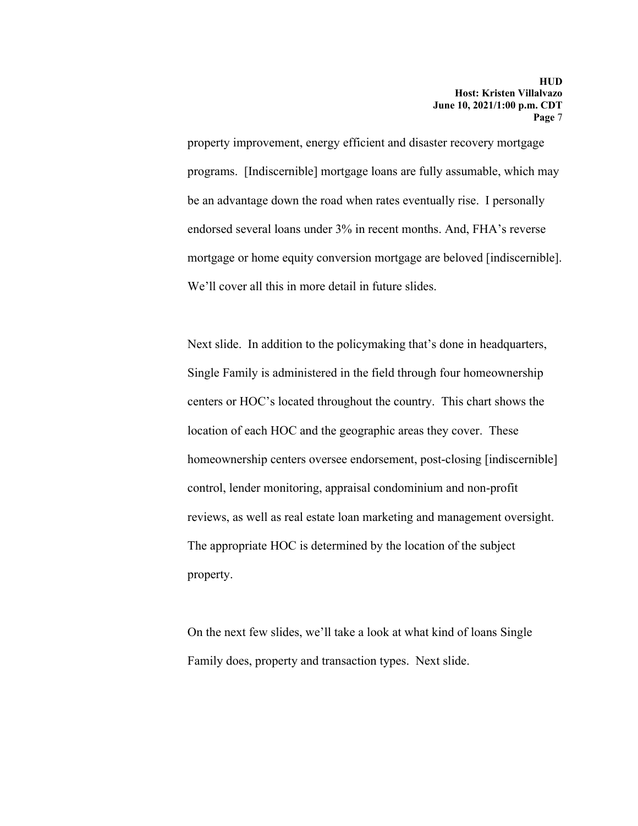property improvement, energy efficient and disaster recovery mortgage programs. [Indiscernible] mortgage loans are fully assumable, which may be an advantage down the road when rates eventually rise. I personally endorsed several loans under 3% in recent months. And, FHA's reverse mortgage or home equity conversion mortgage are beloved [indiscernible]. We'll cover all this in more detail in future slides.

Next slide. In addition to the policymaking that's done in headquarters, Single Family is administered in the field through four homeownership centers or HOC's located throughout the country. This chart shows the location of each HOC and the geographic areas they cover. These homeownership centers oversee endorsement, post-closing [indiscernible] control, lender monitoring, appraisal condominium and non-profit reviews, as well as real estate loan marketing and management oversight. The appropriate HOC is determined by the location of the subject property.

On the next few slides, we'll take a look at what kind of loans Single Family does, property and transaction types. Next slide.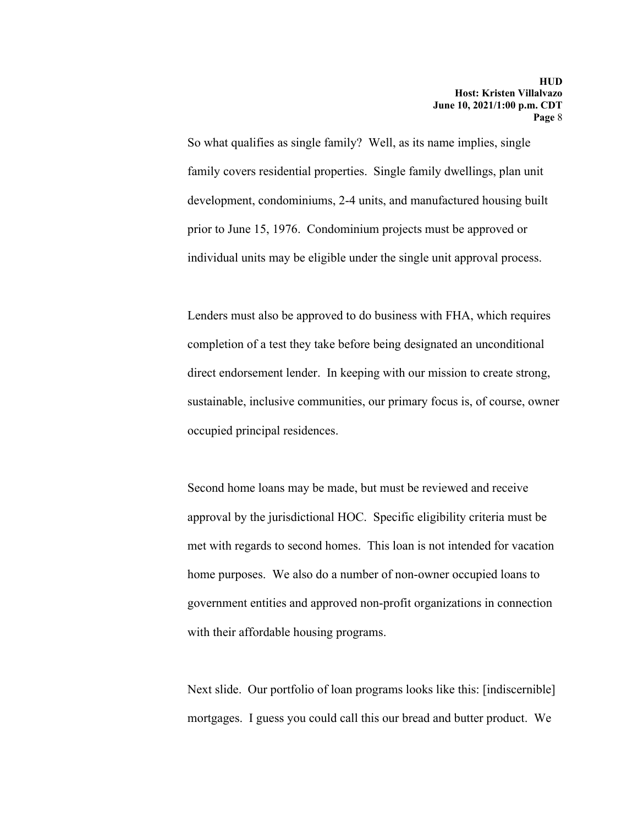So what qualifies as single family? Well, as its name implies, single family covers residential properties. Single family dwellings, plan unit development, condominiums, 2-4 units, and manufactured housing built prior to June 15, 1976. Condominium projects must be approved or individual units may be eligible under the single unit approval process.

Lenders must also be approved to do business with FHA, which requires completion of a test they take before being designated an unconditional direct endorsement lender. In keeping with our mission to create strong, sustainable, inclusive communities, our primary focus is, of course, owner occupied principal residences.

Second home loans may be made, but must be reviewed and receive approval by the jurisdictional HOC. Specific eligibility criteria must be met with regards to second homes. This loan is not intended for vacation home purposes. We also do a number of non-owner occupied loans to government entities and approved non-profit organizations in connection with their affordable housing programs.

Next slide. Our portfolio of loan programs looks like this: [indiscernible] mortgages. I guess you could call this our bread and butter product. We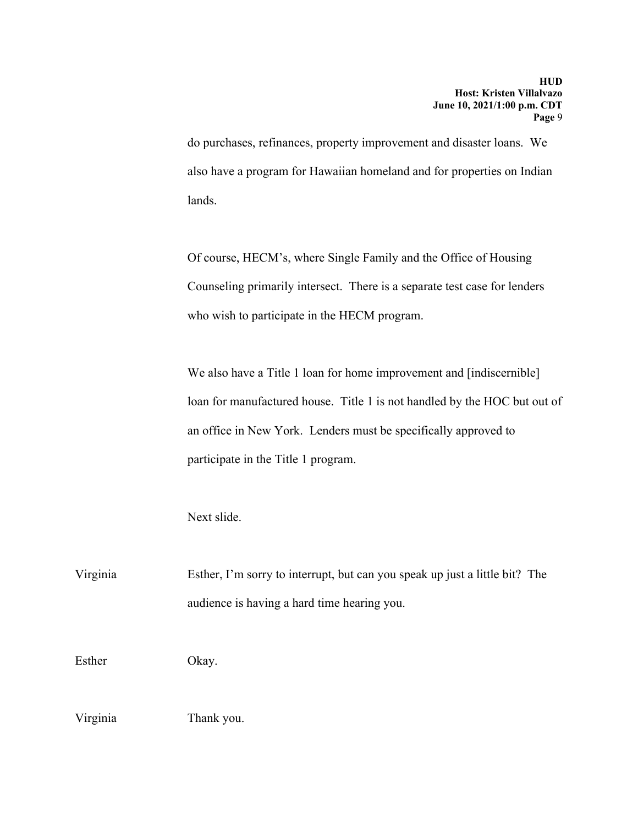do purchases, refinances, property improvement and disaster loans. We also have a program for Hawaiian homeland and for properties on Indian lands.

Of course, HECM's, where Single Family and the Office of Housing Counseling primarily intersect. There is a separate test case for lenders who wish to participate in the HECM program.

We also have a Title 1 loan for home improvement and [indiscernible] loan for manufactured house. Title 1 is not handled by the HOC but out of an office in New York. Lenders must be specifically approved to participate in the Title 1 program.

Next slide.

Virginia Esther, I'm sorry to interrupt, but can you speak up just a little bit? The audience is having a hard time hearing you.

Esther Okay.

Virginia Thank you.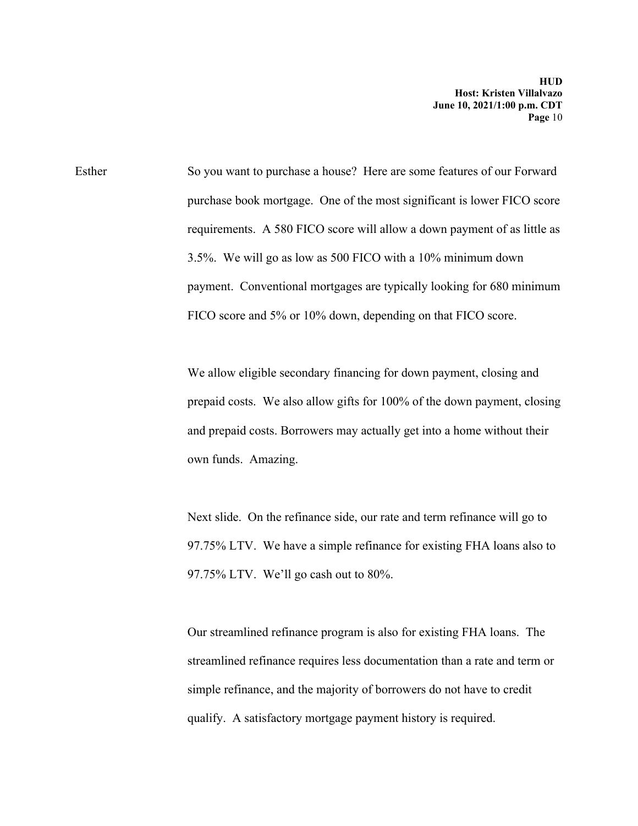Esther So you want to purchase a house? Here are some features of our Forward purchase book mortgage. One of the most significant is lower FICO score requirements. A 580 FICO score will allow a down payment of as little as 3.5%. We will go as low as 500 FICO with a 10% minimum down payment. Conventional mortgages are typically looking for 680 minimum FICO score and 5% or 10% down, depending on that FICO score.

> We allow eligible secondary financing for down payment, closing and prepaid costs. We also allow gifts for 100% of the down payment, closing and prepaid costs. Borrowers may actually get into a home without their own funds. Amazing.

Next slide. On the refinance side, our rate and term refinance will go to 97.75% LTV. We have a simple refinance for existing FHA loans also to 97.75% LTV. We'll go cash out to 80%.

Our streamlined refinance program is also for existing FHA loans. The streamlined refinance requires less documentation than a rate and term or simple refinance, and the majority of borrowers do not have to credit qualify. A satisfactory mortgage payment history is required.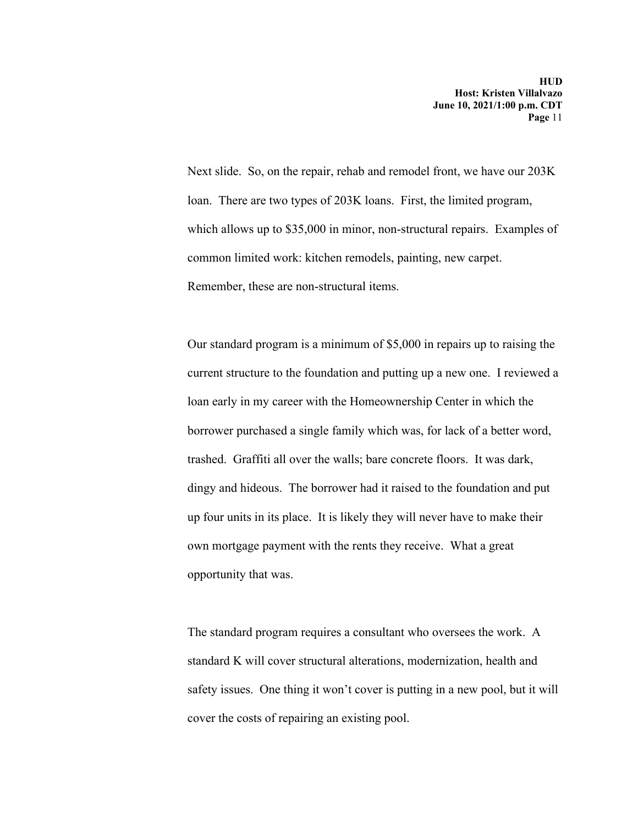Next slide. So, on the repair, rehab and remodel front, we have our 203K loan. There are two types of 203K loans. First, the limited program, which allows up to \$35,000 in minor, non-structural repairs. Examples of common limited work: kitchen remodels, painting, new carpet. Remember, these are non-structural items.

Our standard program is a minimum of \$5,000 in repairs up to raising the current structure to the foundation and putting up a new one. I reviewed a loan early in my career with the Homeownership Center in which the borrower purchased a single family which was, for lack of a better word, trashed. Graffiti all over the walls; bare concrete floors. It was dark, dingy and hideous. The borrower had it raised to the foundation and put up four units in its place. It is likely they will never have to make their own mortgage payment with the rents they receive. What a great opportunity that was.

The standard program requires a consultant who oversees the work. A standard K will cover structural alterations, modernization, health and safety issues. One thing it won't cover is putting in a new pool, but it will cover the costs of repairing an existing pool.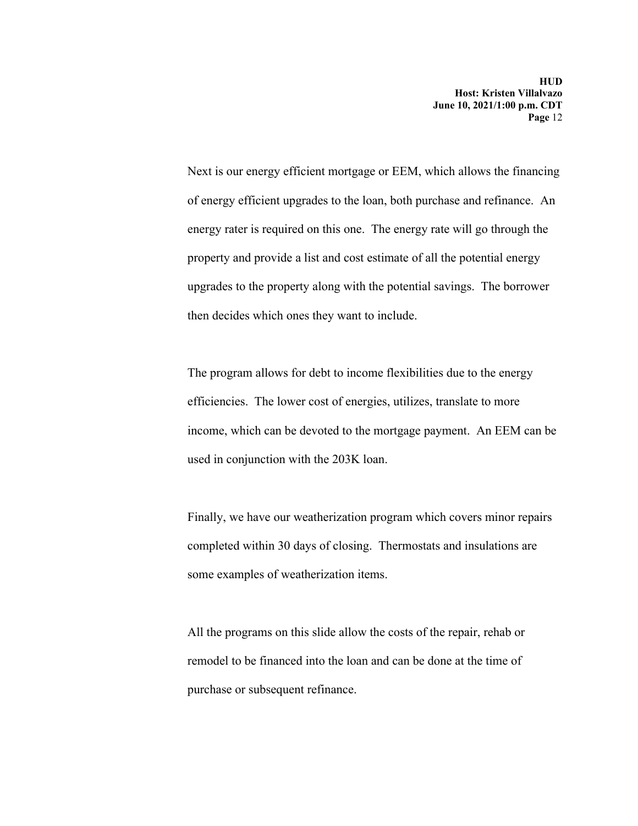Next is our energy efficient mortgage or EEM, which allows the financing of energy efficient upgrades to the loan, both purchase and refinance. An energy rater is required on this one. The energy rate will go through the property and provide a list and cost estimate of all the potential energy upgrades to the property along with the potential savings. The borrower then decides which ones they want to include.

The program allows for debt to income flexibilities due to the energy efficiencies. The lower cost of energies, utilizes, translate to more income, which can be devoted to the mortgage payment. An EEM can be used in conjunction with the 203K loan.

Finally, we have our weatherization program which covers minor repairs completed within 30 days of closing. Thermostats and insulations are some examples of weatherization items.

All the programs on this slide allow the costs of the repair, rehab or remodel to be financed into the loan and can be done at the time of purchase or subsequent refinance.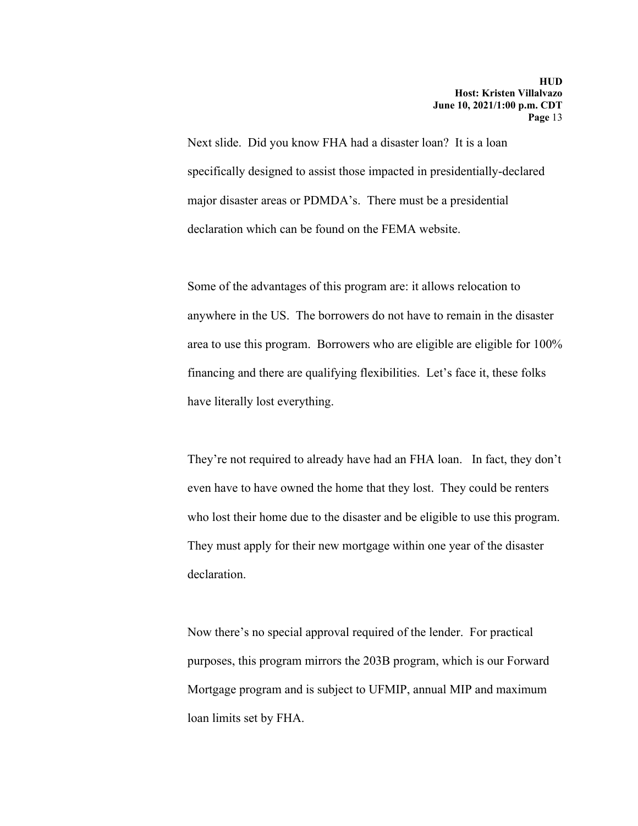Next slide. Did you know FHA had a disaster loan? It is a loan specifically designed to assist those impacted in presidentially-declared major disaster areas or PDMDA's. There must be a presidential declaration which can be found on the FEMA website.

Some of the advantages of this program are: it allows relocation to anywhere in the US. The borrowers do not have to remain in the disaster area to use this program. Borrowers who are eligible are eligible for 100% financing and there are qualifying flexibilities. Let's face it, these folks have literally lost everything.

They're not required to already have had an FHA loan. In fact, they don't even have to have owned the home that they lost. They could be renters who lost their home due to the disaster and be eligible to use this program. They must apply for their new mortgage within one year of the disaster declaration.

Now there's no special approval required of the lender. For practical purposes, this program mirrors the 203B program, which is our Forward Mortgage program and is subject to UFMIP, annual MIP and maximum loan limits set by FHA.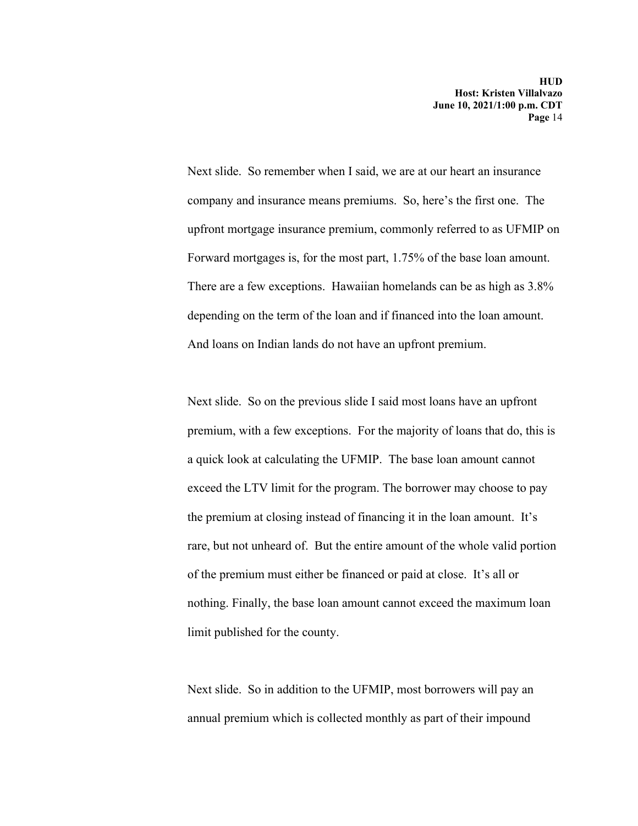Next slide. So remember when I said, we are at our heart an insurance company and insurance means premiums. So, here's the first one. The upfront mortgage insurance premium, commonly referred to as UFMIP on Forward mortgages is, for the most part, 1.75% of the base loan amount. There are a few exceptions. Hawaiian homelands can be as high as 3.8% depending on the term of the loan and if financed into the loan amount. And loans on Indian lands do not have an upfront premium.

Next slide. So on the previous slide I said most loans have an upfront premium, with a few exceptions. For the majority of loans that do, this is a quick look at calculating the UFMIP. The base loan amount cannot exceed the LTV limit for the program. The borrower may choose to pay the premium at closing instead of financing it in the loan amount. It's rare, but not unheard of. But the entire amount of the whole valid portion of the premium must either be financed or paid at close. It's all or nothing. Finally, the base loan amount cannot exceed the maximum loan limit published for the county.

Next slide. So in addition to the UFMIP, most borrowers will pay an annual premium which is collected monthly as part of their impound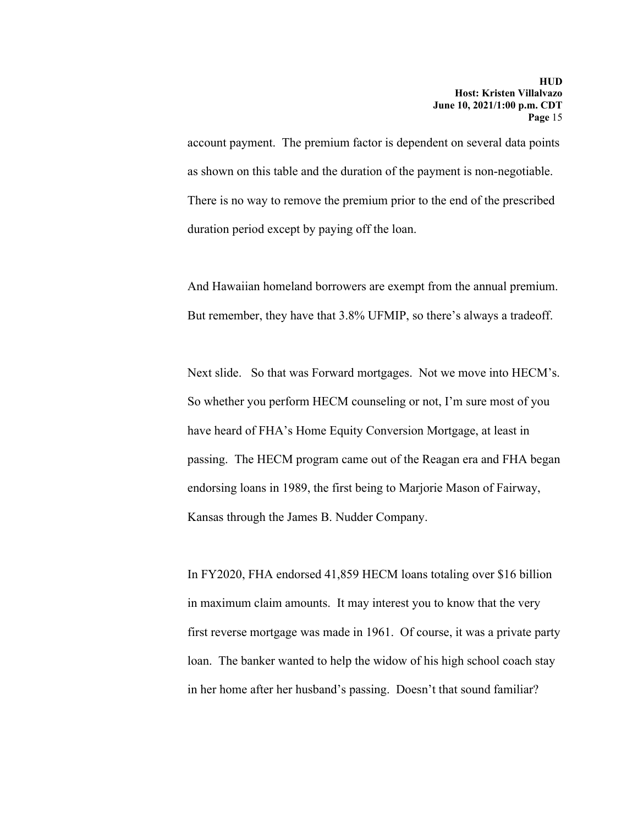account payment. The premium factor is dependent on several data points as shown on this table and the duration of the payment is non-negotiable. There is no way to remove the premium prior to the end of the prescribed duration period except by paying off the loan.

And Hawaiian homeland borrowers are exempt from the annual premium. But remember, they have that 3.8% UFMIP, so there's always a tradeoff.

Next slide. So that was Forward mortgages. Not we move into HECM's. So whether you perform HECM counseling or not, I'm sure most of you have heard of FHA's Home Equity Conversion Mortgage, at least in passing. The HECM program came out of the Reagan era and FHA began endorsing loans in 1989, the first being to Marjorie Mason of Fairway, Kansas through the James B. Nudder Company.

In FY2020, FHA endorsed 41,859 HECM loans totaling over \$16 billion in maximum claim amounts. It may interest you to know that the very first reverse mortgage was made in 1961. Of course, it was a private party loan. The banker wanted to help the widow of his high school coach stay in her home after her husband's passing. Doesn't that sound familiar?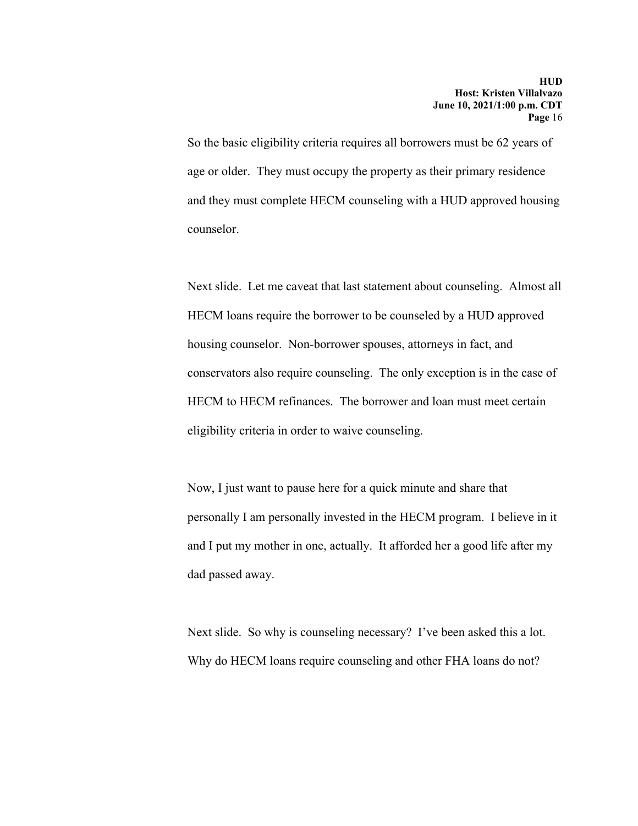So the basic eligibility criteria requires all borrowers must be 62 years of age or older. They must occupy the property as their primary residence and they must complete HECM counseling with a HUD approved housing counselor.

Next slide. Let me caveat that last statement about counseling. Almost all HECM loans require the borrower to be counseled by a HUD approved housing counselor. Non-borrower spouses, attorneys in fact, and conservators also require counseling. The only exception is in the case of HECM to HECM refinances. The borrower and loan must meet certain eligibility criteria in order to waive counseling.

Now, I just want to pause here for a quick minute and share that personally I am personally invested in the HECM program. I believe in it and I put my mother in one, actually. It afforded her a good life after my dad passed away.

Next slide. So why is counseling necessary? I've been asked this a lot. Why do HECM loans require counseling and other FHA loans do not?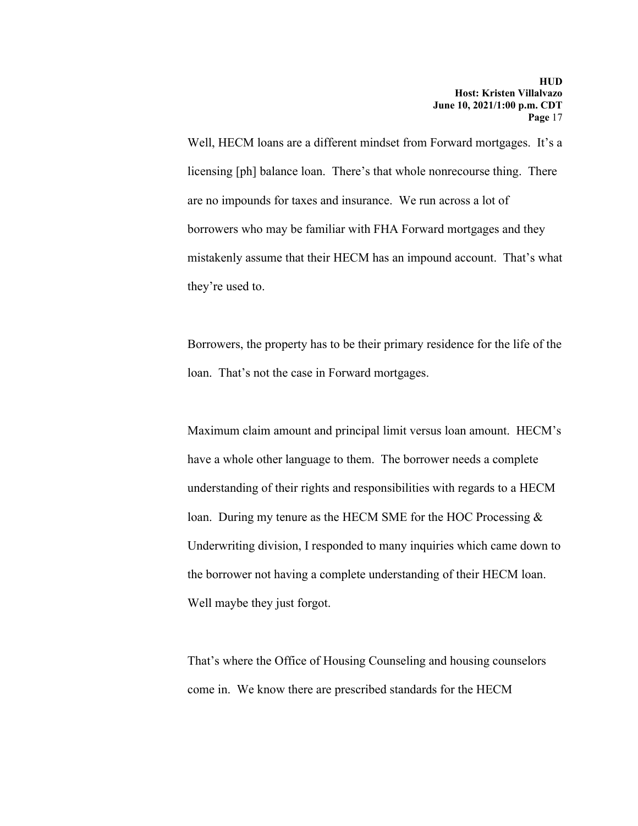Well, HECM loans are a different mindset from Forward mortgages. It's a licensing [ph] balance loan. There's that whole nonrecourse thing. There are no impounds for taxes and insurance. We run across a lot of borrowers who may be familiar with FHA Forward mortgages and they mistakenly assume that their HECM has an impound account. That's what they're used to.

Borrowers, the property has to be their primary residence for the life of the loan. That's not the case in Forward mortgages.

Maximum claim amount and principal limit versus loan amount. HECM's have a whole other language to them. The borrower needs a complete understanding of their rights and responsibilities with regards to a HECM loan. During my tenure as the HECM SME for the HOC Processing  $\&$ Underwriting division, I responded to many inquiries which came down to the borrower not having a complete understanding of their HECM loan. Well maybe they just forgot.

That's where the Office of Housing Counseling and housing counselors come in. We know there are prescribed standards for the HECM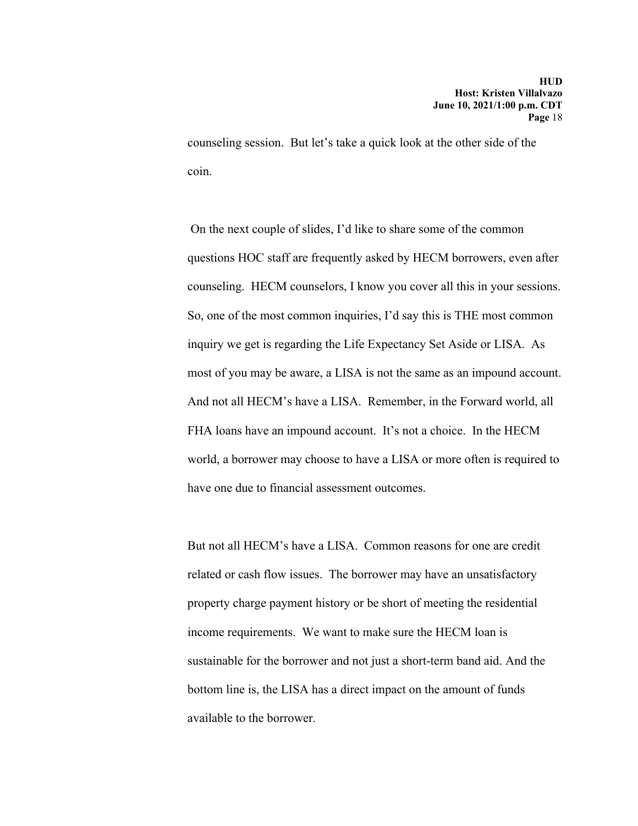counseling session. But let's take a quick look at the other side of the coin.

 On the next couple of slides, I'd like to share some of the common questions HOC staff are frequently asked by HECM borrowers, even after counseling. HECM counselors, I know you cover all this in your sessions. So, one of the most common inquiries, I'd say this is THE most common inquiry we get is regarding the Life Expectancy Set Aside or LISA. As most of you may be aware, a LISA is not the same as an impound account. And not all HECM's have a LISA. Remember, in the Forward world, all FHA loans have an impound account. It's not a choice. In the HECM world, a borrower may choose to have a LISA or more often is required to have one due to financial assessment outcomes.

But not all HECM's have a LISA. Common reasons for one are credit related or cash flow issues. The borrower may have an unsatisfactory property charge payment history or be short of meeting the residential income requirements. We want to make sure the HECM loan is sustainable for the borrower and not just a short-term band aid. And the bottom line is, the LISA has a direct impact on the amount of funds available to the borrower.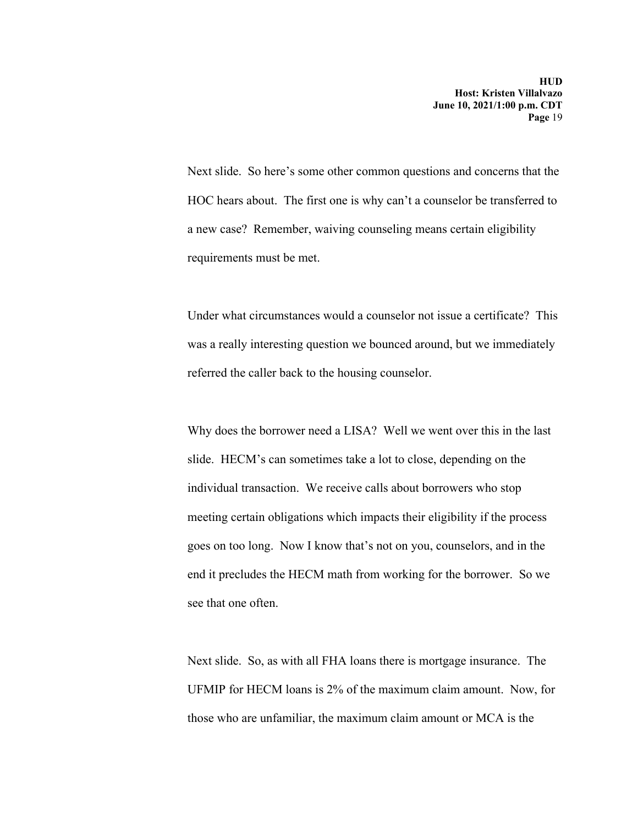Next slide. So here's some other common questions and concerns that the HOC hears about. The first one is why can't a counselor be transferred to a new case? Remember, waiving counseling means certain eligibility requirements must be met.

Under what circumstances would a counselor not issue a certificate? This was a really interesting question we bounced around, but we immediately referred the caller back to the housing counselor.

Why does the borrower need a LISA? Well we went over this in the last slide. HECM's can sometimes take a lot to close, depending on the individual transaction. We receive calls about borrowers who stop meeting certain obligations which impacts their eligibility if the process goes on too long. Now I know that's not on you, counselors, and in the end it precludes the HECM math from working for the borrower. So we see that one often.

Next slide. So, as with all FHA loans there is mortgage insurance. The UFMIP for HECM loans is 2% of the maximum claim amount. Now, for those who are unfamiliar, the maximum claim amount or MCA is the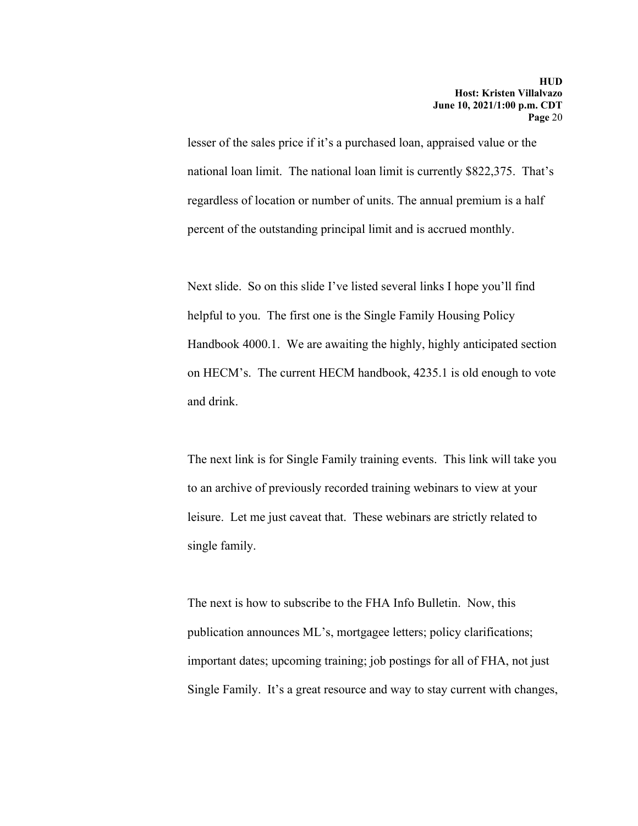lesser of the sales price if it's a purchased loan, appraised value or the national loan limit. The national loan limit is currently \$822,375. That's regardless of location or number of units. The annual premium is a half percent of the outstanding principal limit and is accrued monthly.

Next slide. So on this slide I've listed several links I hope you'll find helpful to you. The first one is the Single Family Housing Policy Handbook 4000.1. We are awaiting the highly, highly anticipated section on HECM's. The current HECM handbook, 4235.1 is old enough to vote and drink.

The next link is for Single Family training events. This link will take you to an archive of previously recorded training webinars to view at your leisure. Let me just caveat that. These webinars are strictly related to single family.

The next is how to subscribe to the FHA Info Bulletin. Now, this publication announces ML's, mortgagee letters; policy clarifications; important dates; upcoming training; job postings for all of FHA, not just Single Family. It's a great resource and way to stay current with changes,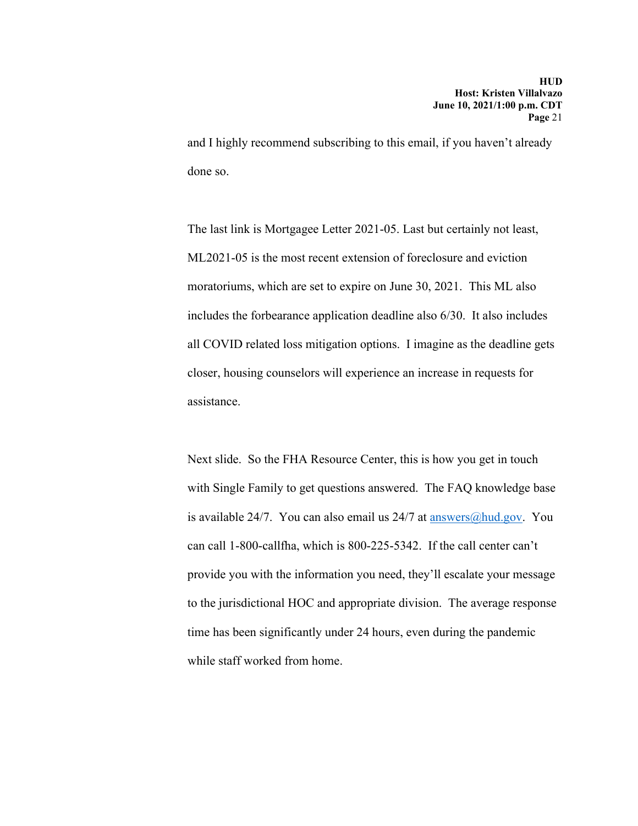and I highly recommend subscribing to this email, if you haven't already done so.

The last link is Mortgagee Letter 2021-05. Last but certainly not least, ML2021-05 is the most recent extension of foreclosure and eviction moratoriums, which are set to expire on June 30, 2021. This ML also includes the forbearance application deadline also 6/30. It also includes all COVID related loss mitigation options. I imagine as the deadline gets closer, housing counselors will experience an increase in requests for assistance.

Next slide. So the FHA Resource Center, this is how you get in touch with Single Family to get questions answered. The FAQ knowledge base is available 24/7. You can also email us  $24/7$  at answers @hud.gov. You can call 1-800-callfha, which is 800-225-5342. If the call center can't provide you with the information you need, they'll escalate your message to the jurisdictional HOC and appropriate division. The average response time has been significantly under 24 hours, even during the pandemic while staff worked from home.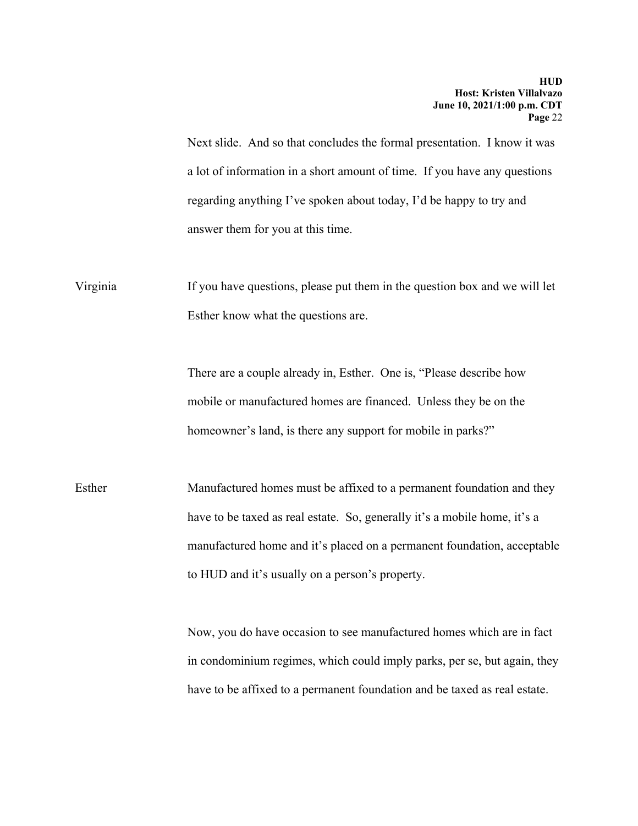Next slide. And so that concludes the formal presentation. I know it was a lot of information in a short amount of time. If you have any questions regarding anything I've spoken about today, I'd be happy to try and answer them for you at this time.

Virginia If you have questions, please put them in the question box and we will let Esther know what the questions are.

> There are a couple already in, Esther. One is, "Please describe how mobile or manufactured homes are financed. Unless they be on the homeowner's land, is there any support for mobile in parks?"

Esther Manufactured homes must be affixed to a permanent foundation and they have to be taxed as real estate. So, generally it's a mobile home, it's a manufactured home and it's placed on a permanent foundation, acceptable to HUD and it's usually on a person's property.

> Now, you do have occasion to see manufactured homes which are in fact in condominium regimes, which could imply parks, per se, but again, they have to be affixed to a permanent foundation and be taxed as real estate.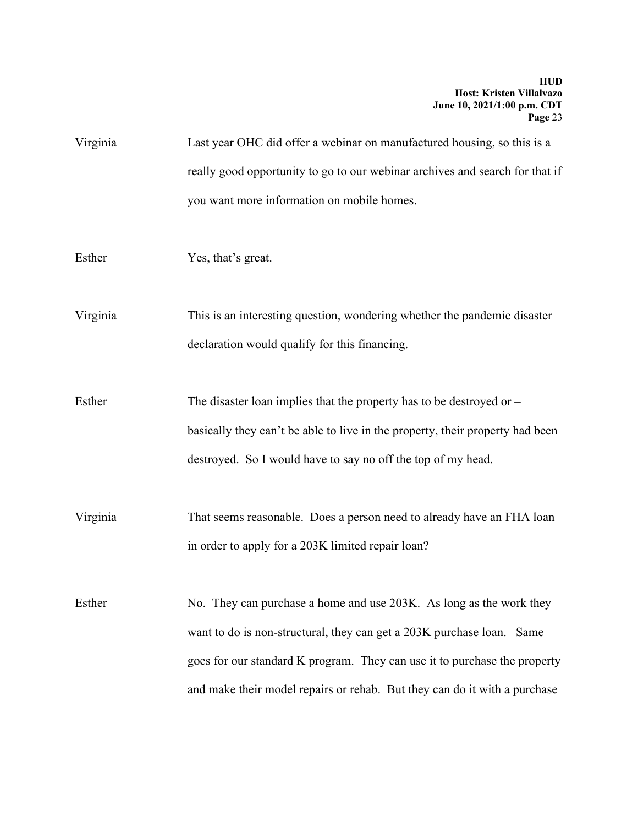Virginia Last year OHC did offer a webinar on manufactured housing, so this is a really good opportunity to go to our webinar archives and search for that if you want more information on mobile homes.

Esther Yes, that's great.

Virginia This is an interesting question, wondering whether the pandemic disaster declaration would qualify for this financing.

Esther The disaster loan implies that the property has to be destroyed or – basically they can't be able to live in the property, their property had been destroyed. So I would have to say no off the top of my head.

Virginia That seems reasonable. Does a person need to already have an FHA loan in order to apply for a 203K limited repair loan?

Esther No. They can purchase a home and use 203K. As long as the work they want to do is non-structural, they can get a 203K purchase loan. Same goes for our standard K program. They can use it to purchase the property and make their model repairs or rehab. But they can do it with a purchase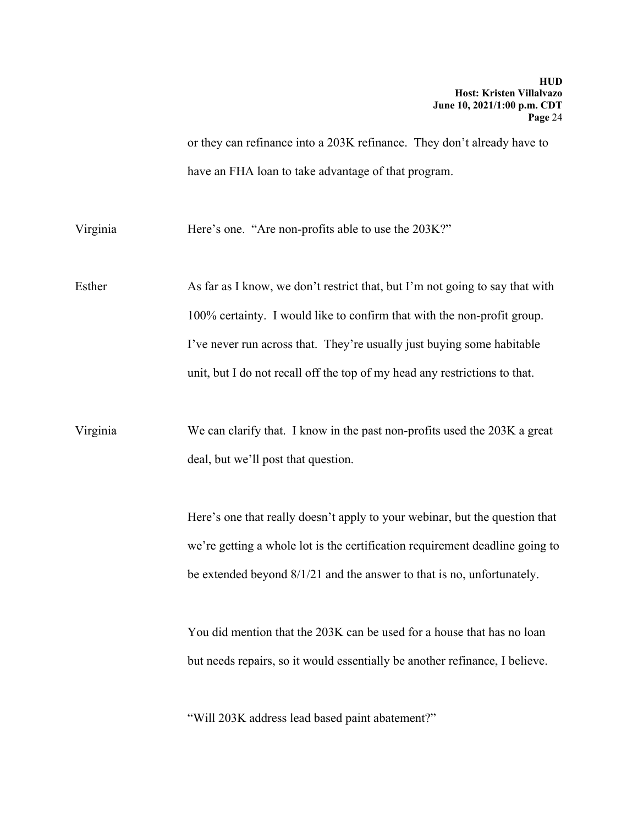or they can refinance into a 203K refinance. They don't already have to have an FHA loan to take advantage of that program.

Virginia Here's one. "Are non-profits able to use the 203K?"

Esther As far as I know, we don't restrict that, but I'm not going to say that with 100% certainty. I would like to confirm that with the non-profit group. I've never run across that. They're usually just buying some habitable unit, but I do not recall off the top of my head any restrictions to that.

Virginia We can clarify that. I know in the past non-profits used the 203K a great deal, but we'll post that question.

> Here's one that really doesn't apply to your webinar, but the question that we're getting a whole lot is the certification requirement deadline going to be extended beyond 8/1/21 and the answer to that is no, unfortunately.

You did mention that the 203K can be used for a house that has no loan but needs repairs, so it would essentially be another refinance, I believe.

"Will 203K address lead based paint abatement?"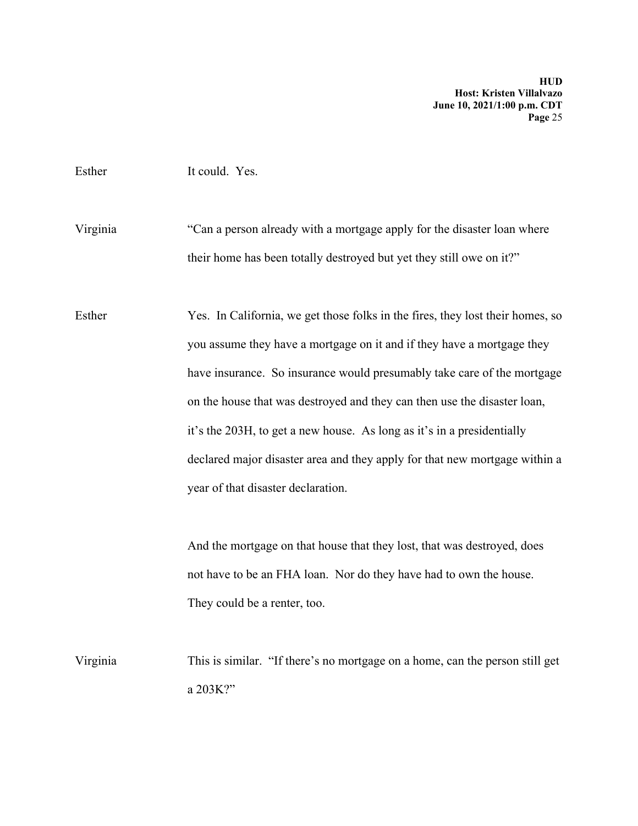#### Esther It could. Yes.

Virginia "Can a person already with a mortgage apply for the disaster loan where their home has been totally destroyed but yet they still owe on it?"

Esther Yes. In California, we get those folks in the fires, they lost their homes, so you assume they have a mortgage on it and if they have a mortgage they have insurance. So insurance would presumably take care of the mortgage on the house that was destroyed and they can then use the disaster loan, it's the 203H, to get a new house. As long as it's in a presidentially declared major disaster area and they apply for that new mortgage within a year of that disaster declaration.

> And the mortgage on that house that they lost, that was destroyed, does not have to be an FHA loan. Nor do they have had to own the house. They could be a renter, too.

Virginia This is similar. "If there's no mortgage on a home, can the person still get a 203K?"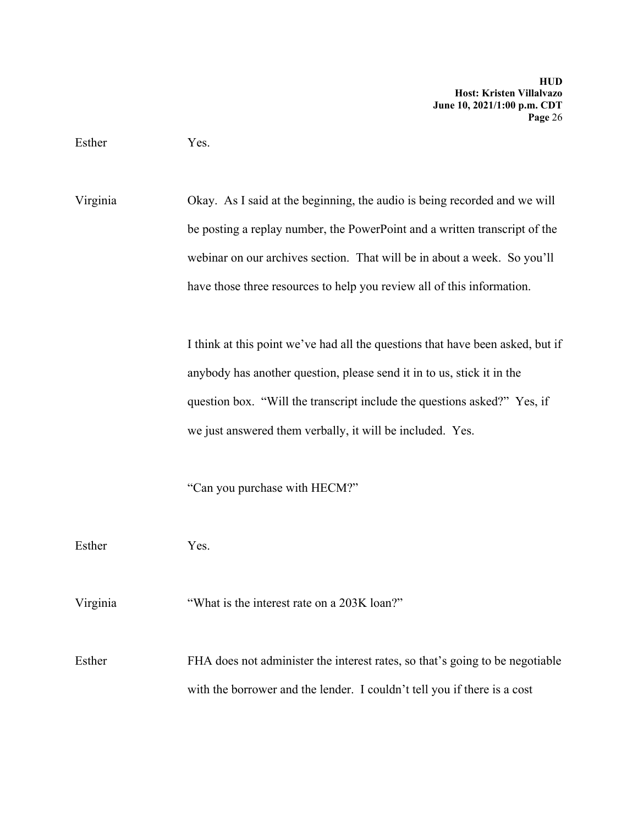Esther Yes.

Virginia Okay. As I said at the beginning, the audio is being recorded and we will be posting a replay number, the PowerPoint and a written transcript of the webinar on our archives section. That will be in about a week. So you'll have those three resources to help you review all of this information.

> I think at this point we've had all the questions that have been asked, but if anybody has another question, please send it in to us, stick it in the question box. "Will the transcript include the questions asked?" Yes, if we just answered them verbally, it will be included. Yes.

"Can you purchase with HECM?"

Esther Yes.

Virginia "What is the interest rate on a 203K loan?"

Esther FHA does not administer the interest rates, so that's going to be negotiable with the borrower and the lender. I couldn't tell you if there is a cost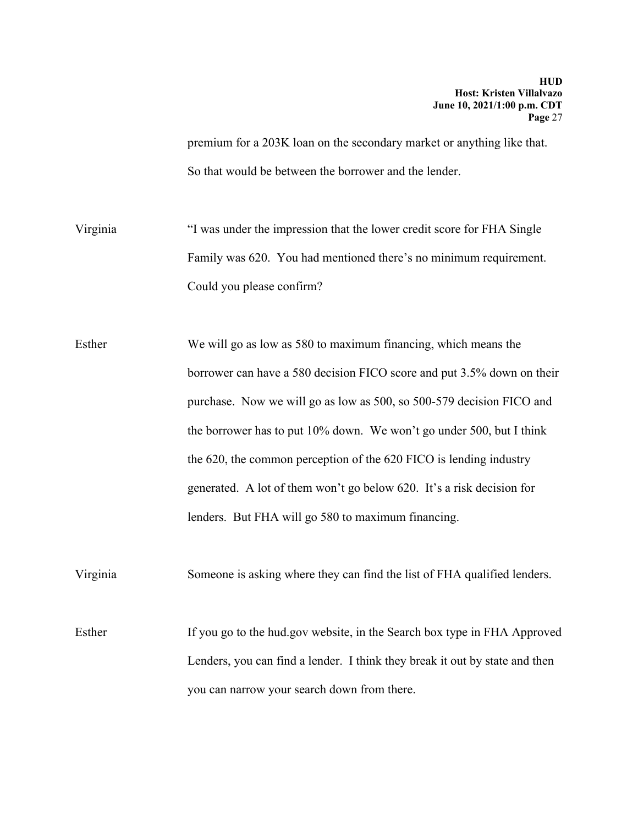premium for a 203K loan on the secondary market or anything like that. So that would be between the borrower and the lender.

Virginia "I was under the impression that the lower credit score for FHA Single Family was 620. You had mentioned there's no minimum requirement. Could you please confirm?

Esther We will go as low as 580 to maximum financing, which means the borrower can have a 580 decision FICO score and put 3.5% down on their purchase. Now we will go as low as 500, so 500-579 decision FICO and the borrower has to put 10% down. We won't go under 500, but I think the 620, the common perception of the 620 FICO is lending industry generated. A lot of them won't go below 620. It's a risk decision for lenders. But FHA will go 580 to maximum financing.

Virginia Someone is asking where they can find the list of FHA qualified lenders.

Esther If you go to the hud.gov website, in the Search box type in FHA Approved Lenders, you can find a lender. I think they break it out by state and then you can narrow your search down from there.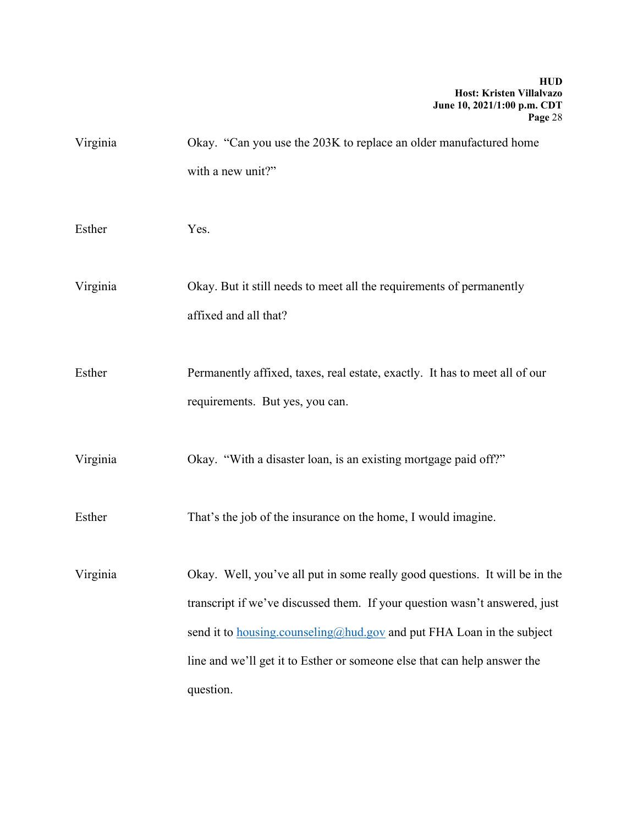| Virginia | Okay. "Can you use the 203K to replace an older manufactured home<br>with a new unit?"                                                                                                                                                                                                                                             |
|----------|------------------------------------------------------------------------------------------------------------------------------------------------------------------------------------------------------------------------------------------------------------------------------------------------------------------------------------|
| Esther   | Yes.                                                                                                                                                                                                                                                                                                                               |
| Virginia | Okay. But it still needs to meet all the requirements of permanently<br>affixed and all that?                                                                                                                                                                                                                                      |
| Esther   | Permanently affixed, taxes, real estate, exactly. It has to meet all of our<br>requirements. But yes, you can.                                                                                                                                                                                                                     |
| Virginia | Okay. "With a disaster loan, is an existing mortgage paid off?"                                                                                                                                                                                                                                                                    |
| Esther   | That's the job of the insurance on the home, I would imagine.                                                                                                                                                                                                                                                                      |
| Virginia | Okay. Well, you've all put in some really good questions. It will be in the<br>transcript if we've discussed them. If your question wasn't answered, just<br>send it to <b>housing.counseling@hud.gov</b> and put FHA Loan in the subject<br>line and we'll get it to Esther or someone else that can help answer the<br>question. |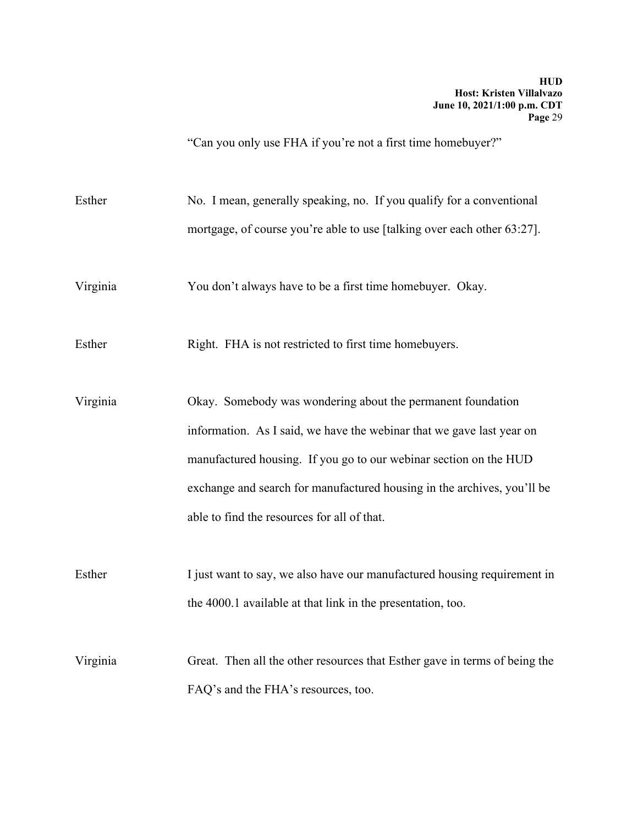"Can you only use FHA if you're not a first time homebuyer?"

Esther No. I mean, generally speaking, no. If you qualify for a conventional mortgage, of course you're able to use [talking over each other 63:27].

Virginia You don't always have to be a first time homebuyer. Okay.

Esther Right. FHA is not restricted to first time homebuyers.

Virginia Okay. Somebody was wondering about the permanent foundation information. As I said, we have the webinar that we gave last year on manufactured housing. If you go to our webinar section on the HUD exchange and search for manufactured housing in the archives, you'll be able to find the resources for all of that.

Esther I just want to say, we also have our manufactured housing requirement in the 4000.1 available at that link in the presentation, too.

Virginia Great. Then all the other resources that Esther gave in terms of being the FAQ's and the FHA's resources, too.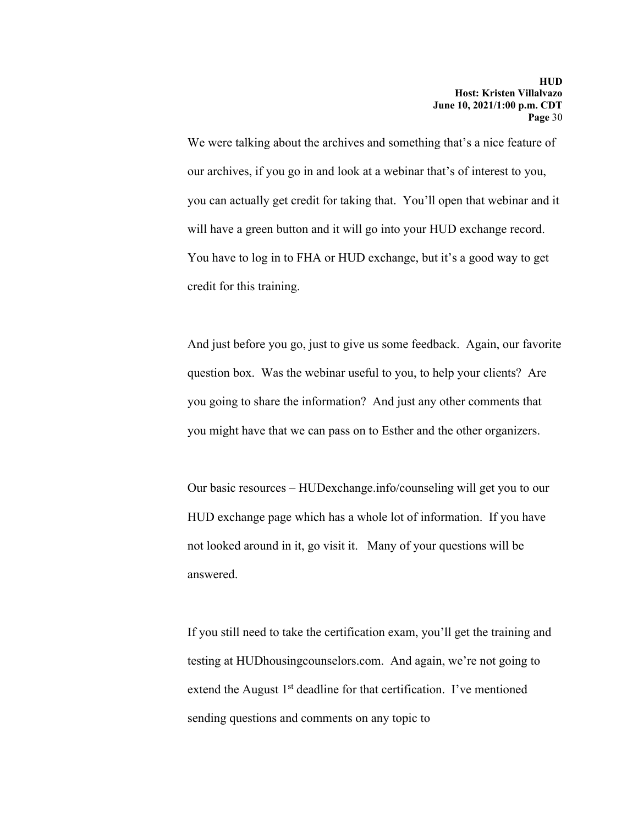We were talking about the archives and something that's a nice feature of our archives, if you go in and look at a webinar that's of interest to you, you can actually get credit for taking that. You'll open that webinar and it will have a green button and it will go into your HUD exchange record. You have to log in to FHA or HUD exchange, but it's a good way to get credit for this training.

And just before you go, just to give us some feedback. Again, our favorite question box. Was the webinar useful to you, to help your clients? Are you going to share the information? And just any other comments that you might have that we can pass on to Esther and the other organizers.

Our basic resources – HUDexchange.info/counseling will get you to our HUD exchange page which has a whole lot of information. If you have not looked around in it, go visit it. Many of your questions will be answered.

If you still need to take the certification exam, you'll get the training and testing at HUDhousingcounselors.com. And again, we're not going to extend the August  $1<sup>st</sup>$  deadline for that certification. I've mentioned sending questions and comments on any topic to